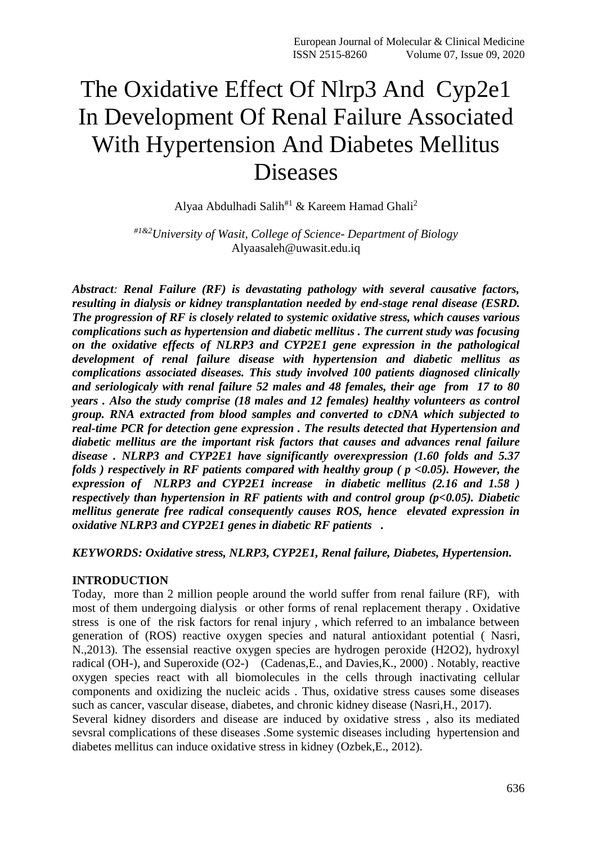# The Oxidative Effect Of Nlrp3 And Cyp2e1 In Development Of Renal Failure Associated With Hypertension And Diabetes Mellitus Diseases

Alyaa Abdulhadi Salih#1 & Kareem Hamad Ghali<sup>2</sup>

*#1&2University of Wasit, College of Science- Department of Biology* Alyaasaleh@uwasit.edu.iq

*Abstract: Renal Failure (RF) is devastating pathology with several causative factors, resulting in dialysis or kidney transplantation needed by end-stage renal disease (ESRD. The progression of RF is closely related to systemic oxidative stress, which causes various complications such as hypertension and diabetic mellitus . The current study was focusing on the oxidative effects of NLRP3 and CYP2E1 gene expression in the pathological development of renal failure disease with hypertension and diabetic mellitus as complications associated diseases. This study involved 100 patients diagnosed clinically and seriologicaly with renal failure 52 males and 48 females, their age from 17 to 80 years . Also the study comprise (18 males and 12 females) healthy volunteers as control group. RNA extracted from blood samples and converted to cDNA which subjected to real-time PCR for detection gene expression . The results detected that Hypertension and diabetic mellitus are the important risk factors that causes and advances renal failure disease . NLRP3 and CYP2E1 have significantly overexpression (1.60 folds and 5.37 folds ) respectively in RF patients compared with healthy group ( p <0.05). However, the expression of NLRP3 and CYP2E1 increase in diabetic mellitus (2.16 and 1.58 ) respectively than hypertension in RF patients with and control group (p<0.05). Diabetic mellitus generate free radical consequently causes ROS, hence elevated expression in oxidative NLRP3 and CYP2E1 genes in diabetic RF patients .* 

### *KEYWORDS: Oxidative stress, NLRP3, CYP2E1, Renal failure, Diabetes, Hypertension.*

### **INTRODUCTION**

Today, more than 2 million people around the world suffer from renal failure (RF), with most of them undergoing dialysis or other forms of renal replacement therapy . Oxidative stress is one of the risk factors for renal injury , which referred to an imbalance between generation of (ROS) reactive oxygen species and natural antioxidant potential ( Nasri, N.,2013). The essensial reactive oxygen species are hydrogen peroxide (H2O2), hydroxyl radical (OH-), and Superoxide (O2-) (Cadenas,E., and Davies,K., 2000) . Notably, reactive oxygen species react with all biomolecules in the cells through inactivating cellular components and oxidizing the nucleic acids . Thus, oxidative stress causes some diseases such as cancer, vascular disease, diabetes, and chronic kidney disease (Nasri,H., 2017).

Several kidney disorders and disease are induced by oxidative stress , also its mediated sevsral complications of these diseases .Some systemic diseases including hypertension and diabetes mellitus can induce oxidative stress in kidney (Ozbek,E., 2012).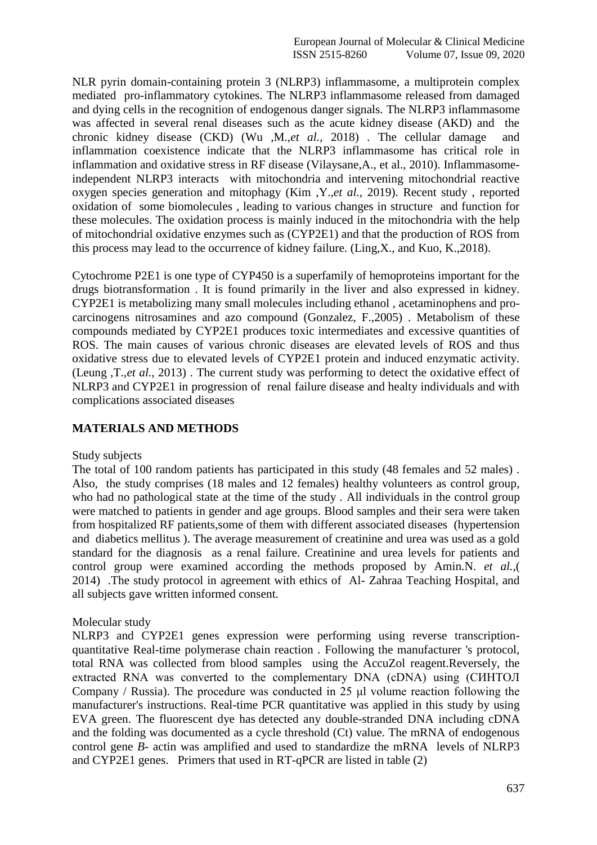NLR pyrin domain-containing protein 3 (NLRP3) inflammasome, a multiprotein complex mediated pro-inflammatory cytokines. The NLRP3 inflammasome released from damaged and dying cells in the recognition of endogenous danger signals. The NLRP3 inflammasome was affected in several renal diseases such as the acute kidney disease (AKD) and the chronic kidney disease (CKD) (Wu ,M.,*et al.*, 2018) . The cellular damage and inflammation coexistence indicate that the NLRP3 inflammasome has critical role in inflammation and oxidative stress in RF disease (Vilaysane,A., et al., 2010). Inflammasomeindependent NLRP3 interacts with mitochondria and intervening mitochondrial reactive oxygen species generation and mitophagy (Kim ,Y.,*et al.*, 2019). Recent study , reported oxidation of some biomolecules , leading to various changes in structure and function for these molecules. The oxidation process is mainly induced in the mitochondria with the help of mitochondrial oxidative enzymes such as (CYP2E1) and that the production of ROS from this process may lead to the occurrence of kidney failure. (Ling,X., and Kuo, K.,2018).

Cytochrome P2E1 is one type of CYP450 is a superfamily of hemoproteins important for the drugs biotransformation . It is found primarily in the liver and also expressed in kidney. CYP2E1 is metabolizing many small molecules including ethanol , acetaminophens and procarcinogens nitrosamines and azo compound (Gonzalez, F.,2005) . Metabolism of these compounds mediated by CYP2E1 produces toxic intermediates and excessive quantities of ROS. The main causes of various chronic diseases are elevated levels of ROS and thus oxidative stress due to elevated levels of CYP2E1 protein and induced enzymatic activity. (Leung ,T.,*et al.*, 2013) . The current study was performing to detect the oxidative effect of NLRP3 and CYP2E1 in progression of renal failure disease and healty individuals and with complications associated diseases

# **MATERIALS AND METHODS**

### Study subjects

The total of 100 random patients has participated in this study (48 females and 52 males) . Also, the study comprises (18 males and 12 females) healthy volunteers as control group, who had no pathological state at the time of the study . All individuals in the control group were matched to patients in gender and age groups. Blood samples and their sera were taken from hospitalized RF patients,some of them with different associated diseases (hypertension and diabetics mellitus ). The average measurement of creatinine and urea was used as a gold standard for the diagnosis as a renal failure. Creatinine and urea levels for patients and control group were examined according the methods proposed by Amin.N. *et al.*,( 2014) .The study protocol in agreement with ethics of Al- Zahraa Teaching Hospital, and all subjects gave written informed consent.

## Molecular study

NLRP3 and CYP2E1 genes expression were performing using reverse transcriptionquantitative Real-time polymerase chain reaction . Following the manufacturer 's protocol, total RNA was collected from blood samples using the AccuZol reagent.Reversely, the extracted RNA was converted to the complementary DNA (cDNA) using (CИНТОЛ Company / Russia). The procedure was conducted in 25 μl volume reaction following the manufacturer's instructions. Real-time PCR quantitative was applied in this study by using EVA green. The fluorescent dye has detected any double-stranded DNA including cDNA and the folding was documented as a cycle threshold (Ct) value. The mRNA of endogenous control gene *B*- actin was amplified and used to standardize the mRNA levels of NLRP3 and CYP2E1 genes. Primers that used in RT-qPCR are listed in table (2)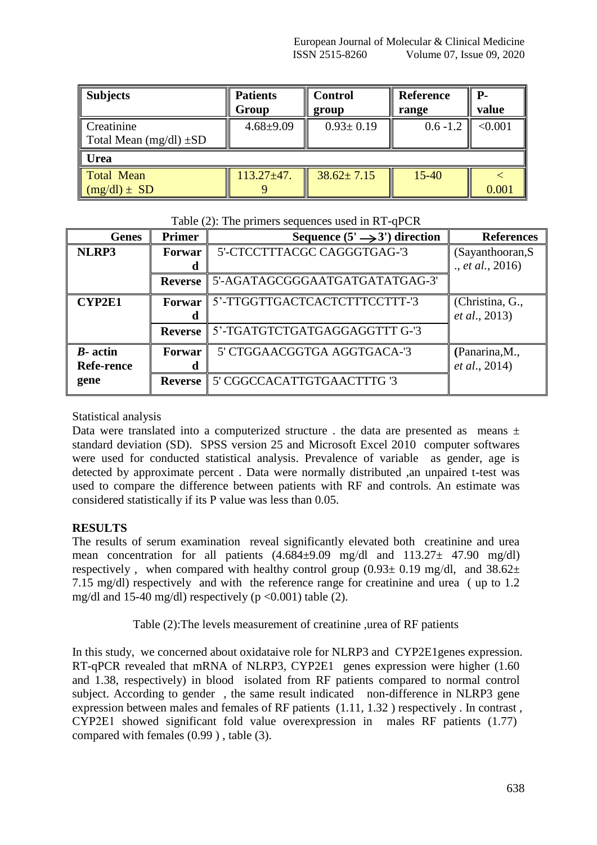| <b>Subjects</b>                           | <b>Patients</b><br>Group | <b>Control</b><br>group | ║<br><b>Reference</b><br>║<br>range | Р.<br>value |
|-------------------------------------------|--------------------------|-------------------------|-------------------------------------|-------------|
| Creatinine<br>Total Mean $(mg/dl) \pm SD$ | $4.68 \pm 9.09$          | $0.93 \pm 0.19$         | $0.6 - 1.2$                         | < 0.001     |
| ∥ Urea                                    |                          |                         |                                     |             |
| Total Mean<br>$(mg/dl) \pm SD$            | $113.27 \pm 47.$         | $38.62 \pm 7.15$        | M<br>$15 - 40$                      | 0.001       |

## Table (2): The primers sequences used in RT-qPCR

| <b>Genes</b>      | <b>Primer</b>  | Sequence $(5' \rightarrow 3')$ direction | <b>References</b>     |
|-------------------|----------------|------------------------------------------|-----------------------|
| NLRP3             | Forwar         | 5'-CTCCTTTACGC CAGGGTGAG-'3              | (Sayanthooran, S      |
|                   | a              |                                          | ., et al., 2016)      |
|                   | <b>Reverse</b> | 5'-AGATAGCGGGAATGATGATATGAG-3'           |                       |
| <b>CYP2E1</b>     | Forwar         | 5'-TTGGTTGACTCACTCTTTCCTTT-'3            | (Christina, G.,       |
|                   | a              |                                          | <i>et al.</i> , 2013) |
|                   | <b>Reverse</b> | 5'-TGATGTCTGATGAGGAGGTTT G-'3            |                       |
| $B$ - actin       | Forwar         | 5' CTGGAACGGTGA AGGTGACA-'3              | (Panarina, M.,        |
| <b>Refe-rence</b> | d              |                                          | <i>et al.</i> , 2014) |
| gene              | <b>Reverse</b> | 5' CGGCCACATTGTGAACTTTG '3               |                       |

# Statistical analysis

Data were translated into a computerized structure . the data are presented as means  $\pm$ standard deviation (SD). SPSS version 25 and Microsoft Excel 2010 computer softwares were used for conducted statistical analysis. Prevalence of variable as gender, age is detected by approximate percent . Data were normally distributed ,an unpaired t-test was used to compare the difference between patients with RF and controls. An estimate was considered statistically if its P value was less than 0.05.

# **RESULTS**

The results of serum examination reveal significantly elevated both creatinine and urea mean concentration for all patients  $(4.684\pm9.09 \text{ mg/dl}$  and  $113.27\pm 47.90 \text{ mg/dl}$ respectively, when compared with healthy control group  $(0.93 \pm 0.19 \text{ mg/dl})$ , and  $38.62 \pm 1.19 \text{ mg/dl}$ 7.15 mg/dl) respectively and with the reference range for creatinine and urea ( up to 1.2 mg/dl and 15-40 mg/dl) respectively ( $p \le 0.001$ ) table (2).

Table (2):The levels measurement of creatinine ,urea of RF patients

In this study, we concerned about oxidataive role for NLRP3 and CYP2E1genes expression. RT-qPCR revealed that mRNA of NLRP3, CYP2E1 genes expression were higher (1.60 and 1.38, respectively) in blood isolated from RF patients compared to normal control subject. According to gender , the same result indicated non-difference in NLRP3 gene expression between males and females of RF patients (1.11, 1.32 ) respectively . In contrast , CYP2E1 showed significant fold value overexpression in males RF patients (1.77) compared with females (0.99 ) , table (3).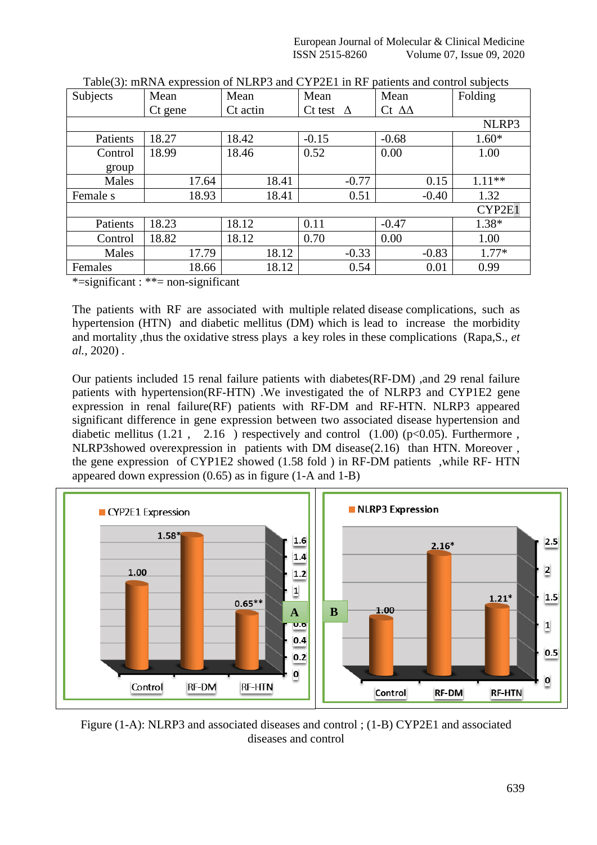European Journal of Molecular & Clinical Medicine ISSN 2515-8260 Volume 07, Issue 09, 2020

| Subjects | Mean    | Mean     | Mean                | Mean              | Folding  |
|----------|---------|----------|---------------------|-------------------|----------|
|          | Ct gene | Ct actin | Ct test<br>$\Delta$ | Ct $\Delta\Delta$ |          |
| NLRP3    |         |          |                     |                   |          |
| Patients | 18.27   | 18.42    | $-0.15$             | $-0.68$           | $1.60*$  |
| Control  | 18.99   | 18.46    | 0.52                | 0.00              | 1.00     |
| group    |         |          |                     |                   |          |
| Males    | 17.64   | 18.41    | $-0.77$             | 0.15              | $1.11**$ |
| Female s | 18.93   | 18.41    | 0.51                | $-0.40$           | 1.32     |
| CYP2E1   |         |          |                     |                   |          |
| Patients | 18.23   | 18.12    | 0.11                | $-0.47$           | $1.38*$  |
| Control  | 18.82   | 18.12    | 0.70                | 0.00              | 1.00     |
| Males    | 17.79   | 18.12    | $-0.33$             | $-0.83$           | $1.77*$  |
| Females  | 18.66   | 18.12    | 0.54                | 0.01              | 0.99     |

| Table(3): mRNA expression of NLRP3 and CYP2E1 in RF patients and control subjects |  |  |
|-----------------------------------------------------------------------------------|--|--|
|                                                                                   |  |  |

\*=significant : \*\*= non-significant

The patients with RF are associated with multiple related disease complications, such as hypertension (HTN) and diabetic mellitus (DM) which is lead to increase the morbidity and mortality ,thus the oxidative stress plays a key roles in these complications (Rapa,S., *et al.*, 2020) .

Our patients included 15 renal failure patients with diabetes(RF-DM) ,and 29 renal failure patients with hypertension(RF-HTN) .We investigated the of NLRP3 and CYP1E2 gene expression in renal failure(RF) patients with RF-DM and RF-HTN. NLRP3 appeared significant difference in gene expression between two associated disease hypertension and diabetic mellitus  $(1.21, 2.16)$  respectively and control  $(1.00)$  (p<0.05). Furthermore, NLRP3showed overexpression in patients with DM disease(2.16) than HTN. Moreover , the gene expression of CYP1E2 showed (1.58 fold ) in RF-DM patients ,while RF- HTN appeared down expression (0.65) as in figure (1-A and 1-B)



Figure (1-A): NLRP3 and associated diseases and control ; (1-B) CYP2E1 and associated diseases and control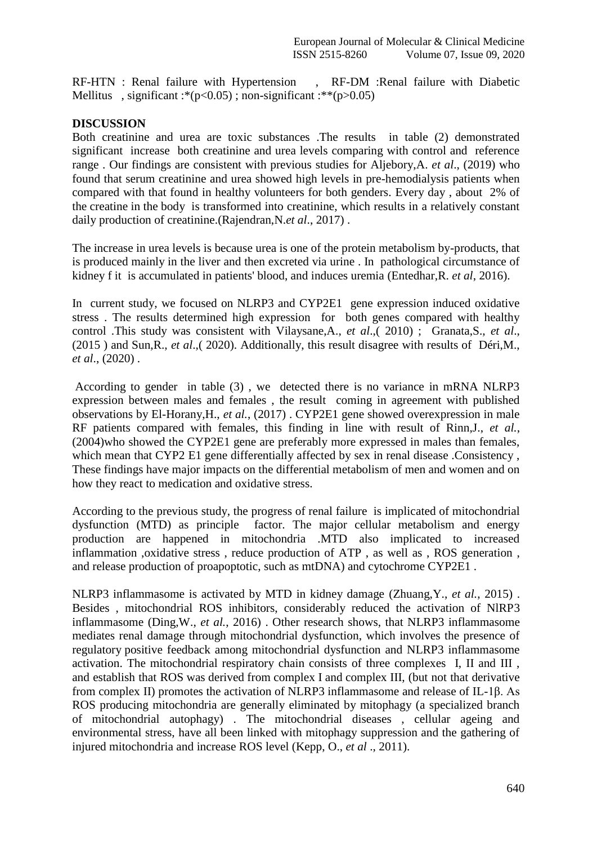RF-HTN : Renal failure with Hypertension , RF-DM :Renal failure with Diabetic Mellitus, significant :\*( $p<0.05$ ); non-significant :\*\*( $p>0.05$ )

## **DISCUSSION**

Both creatinine and urea are toxic substances .The results in table (2) demonstrated significant increase both creatinine and urea levels comparing with control and reference range . Our findings are consistent with previous studies for Aljebory,A. *et al*., (2019) who found that serum creatinine and urea showed high levels in pre-hemodialysis patients when compared with that found in healthy volunteers for both genders. Every day , about 2% of the creatine in the body is transformed into creatinine, which results in a relatively constant daily production of creatinine.(Rajendran,N.*et al*., 2017) .

The increase in urea levels is because urea is one of the protein metabolism by-products, that is produced mainly in the liver and then excreted via urine . In pathological circumstance of kidney f it is accumulated in patients' blood, and induces uremia (Entedhar,R. *et al*, 2016).

In current study, we focused on NLRP3 and CYP2E1 gene expression induced oxidative stress . The results determined high expression for both genes compared with healthy control .This study was consistent with Vilaysane,A., *et al*.,( 2010) ; Granata,S., *et al*., (2015 ) and Sun,R., *et al*.,( 2020). Additionally, this result disagree with results of Déri,M., *et al*., (2020) .

According to gender in table (3) , we detected there is no variance in mRNA NLRP3 expression between males and females , the result coming in agreement with published observations by El-Horany,H., *et al.*, (2017) . CYP2E1 gene showed overexpression in male RF patients compared with females, this finding in line with result of Rinn,J., *et al.*, (2004)who showed the CYP2E1 gene are preferably more expressed in males than females, which mean that CYP2 E1 gene differentially affected by sex in renal disease .Consistency, These findings have major impacts on the differential metabolism of men and women and on how they react to medication and oxidative stress.

According to the previous study, the progress of renal failure is implicated of mitochondrial dysfunction (MTD) as principle factor. The major cellular metabolism and energy production are happened in mitochondria .MTD also implicated to increased inflammation ,oxidative stress , reduce production of ATP , as well as , ROS generation , and release production of proapoptotic, such as mtDNA) and cytochrome CYP2E1 .

NLRP3 inflammasome is activated by MTD in kidney damage (Zhuang,Y., *et al.*, 2015) . Besides , mitochondrial ROS inhibitors, considerably reduced the activation of NlRP3 inflammasome (Ding,W., *et al.*, 2016) . Other research shows, that NLRP3 inflammasome mediates renal damage through mitochondrial dysfunction, which involves the presence of regulatory positive feedback among mitochondrial dysfunction and NLRP3 inflammasome activation. The mitochondrial respiratory chain consists of three complexes I, II and III , and establish that ROS was derived from complex I and complex III, (but not that derivative from complex II) promotes the activation of NLRP3 inflammasome and release of IL-1β. As ROS producing mitochondria are generally eliminated by mitophagy (a specialized branch of mitochondrial autophagy) . The mitochondrial diseases , cellular ageing and environmental stress, have all been linked with mitophagy suppression and the gathering of injured mitochondria and increase ROS level (Kepp, O., *et al* ., 2011).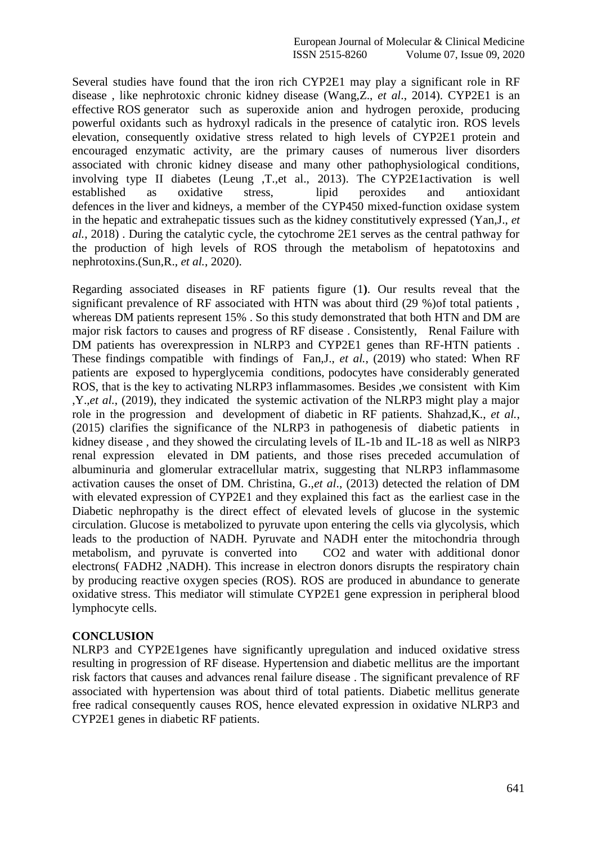Several studies have found that the iron rich CYP2E1 may play a significant role in RF disease , like nephrotoxic chronic kidney disease (Wang,Z., *et al*., 2014). CYP2E1 is an effective ROS generator such as superoxide anion and hydrogen peroxide, producing powerful oxidants such as hydroxyl radicals in the presence of catalytic iron. ROS levels elevation, consequently oxidative stress related to high levels of CYP2E1 protein and encouraged enzymatic activity, are the primary causes of numerous liver disorders associated with chronic kidney disease and many other pathophysiological conditions, involving type II diabetes (Leung ,T.,et al., 2013). The CYP2E1activation is well established as oxidative stress, lipid peroxides and antioxidant defences in the liver and kidneys, a member of the CYP450 mixed-function oxidase system in the hepatic and extrahepatic tissues such as the kidney constitutively expressed (Yan,J., *et al.*, 2018) . During the catalytic cycle, the cytochrome 2E1 serves as the central pathway for the production of high levels of ROS through the metabolism of hepatotoxins and nephrotoxins.(Sun,R., *et al.*, 2020).

Regarding associated diseases in RF patients figure (1**)**. Our results reveal that the significant prevalence of RF associated with HTN was about third (29 %)of total patients , whereas DM patients represent 15% . So this study demonstrated that both HTN and DM are major risk factors to causes and progress of RF disease . Consistently, Renal Failure with DM patients has overexpression in NLRP3 and CYP2E1 genes than RF-HTN patients . These findings compatible with findings of Fan,J., *et al.*, (2019) who stated: When RF patients are exposed to hyperglycemia conditions, podocytes have considerably generated ROS, that is the key to activating NLRP3 inflammasomes. Besides ,we consistent with Kim ,Y.,*et al.*, (2019), they indicated the systemic activation of the NLRP3 might play a major role in the progression and development of diabetic in RF patients. Shahzad,K., *et al.*, (2015) clarifies the significance of the NLRP3 in pathogenesis of diabetic patients in kidney disease , and they showed the circulating levels of IL-1b and IL-18 as well as NlRP3 renal expression elevated in DM patients, and those rises preceded accumulation of albuminuria and glomerular extracellular matrix, suggesting that NLRP3 inflammasome activation causes the onset of DM. Christina, G.,*et al*., (2013) detected the relation of DM with elevated expression of CYP2E1 and they explained this fact as the earliest case in the Diabetic nephropathy is the direct effect of elevated levels of glucose in the systemic circulation. Glucose is metabolized to pyruvate upon entering the cells via glycolysis, which leads to the production of NADH. Pyruvate and NADH enter the mitochondria through metabolism, and pyruvate is converted into CO2 and water with additional donor electrons( FADH2 ,NADH). This increase in electron donors disrupts the respiratory chain by producing reactive oxygen species (ROS). ROS are produced in abundance to generate oxidative stress. This mediator will stimulate CYP2E1 gene expression in peripheral blood lymphocyte cells.

### **CONCLUSION**

NLRP3 and CYP2E1genes have significantly upregulation and induced oxidative stress resulting in progression of RF disease. Hypertension and diabetic mellitus are the important risk factors that causes and advances renal failure disease . The significant prevalence of RF associated with hypertension was about third of total patients. Diabetic mellitus generate free radical consequently causes ROS, hence elevated expression in oxidative NLRP3 and CYP2E1 genes in diabetic RF patients.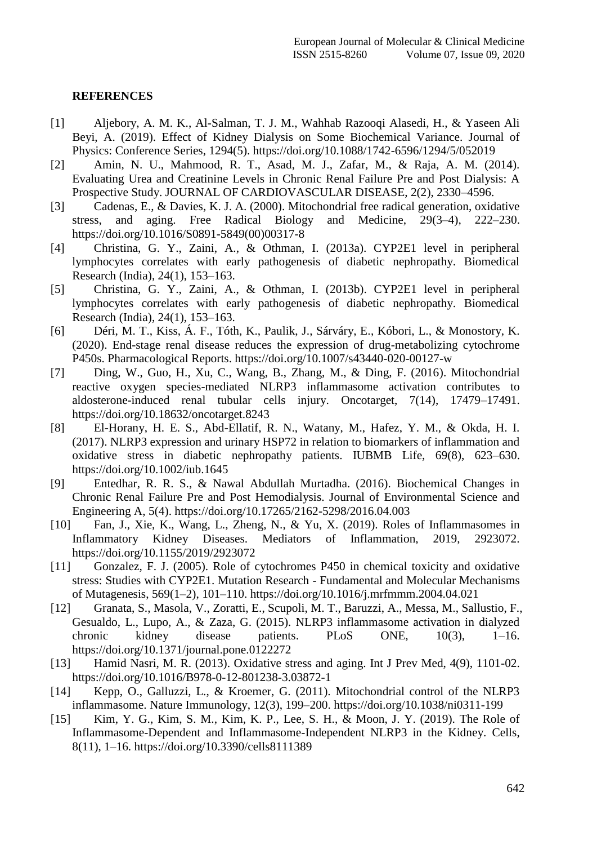## **REFERENCES**

- [1] Aljebory, A. M. K., Al-Salman, T. J. M., Wahhab Razooqi Alasedi, H., & Yaseen Ali Beyi, A. (2019). Effect of Kidney Dialysis on Some Biochemical Variance. Journal of Physics: Conference Series, 1294(5). https://doi.org/10.1088/1742-6596/1294/5/052019
- [2] Amin, N. U., Mahmood, R. T., Asad, M. J., Zafar, M., & Raja, A. M. (2014). Evaluating Urea and Creatinine Levels in Chronic Renal Failure Pre and Post Dialysis: A Prospective Study. JOURNAL OF CARDIOVASCULAR DISEASE, 2(2), 2330–4596.
- [3] Cadenas, E., & Davies, K. J. A. (2000). Mitochondrial free radical generation, oxidative stress, and aging. Free Radical Biology and Medicine, 29(3–4), 222–230. https://doi.org/10.1016/S0891-5849(00)00317-8
- [4] Christina, G. Y., Zaini, A., & Othman, I. (2013a). CYP2E1 level in peripheral lymphocytes correlates with early pathogenesis of diabetic nephropathy. Biomedical Research (India), 24(1), 153–163.
- [5] Christina, G. Y., Zaini, A., & Othman, I. (2013b). CYP2E1 level in peripheral lymphocytes correlates with early pathogenesis of diabetic nephropathy. Biomedical Research (India), 24(1), 153–163.
- [6] Déri, M. T., Kiss, Á. F., Tóth, K., Paulik, J., Sárváry, E., Kóbori, L., & Monostory, K. (2020). End-stage renal disease reduces the expression of drug-metabolizing cytochrome P450s. Pharmacological Reports. https://doi.org/10.1007/s43440-020-00127-w
- [7] Ding, W., Guo, H., Xu, C., Wang, B., Zhang, M., & Ding, F. (2016). Mitochondrial reactive oxygen species-mediated NLRP3 inflammasome activation contributes to aldosterone-induced renal tubular cells injury. Oncotarget, 7(14), 17479–17491. https://doi.org/10.18632/oncotarget.8243
- [8] El-Horany, H. E. S., Abd-Ellatif, R. N., Watany, M., Hafez, Y. M., & Okda, H. I. (2017). NLRP3 expression and urinary HSP72 in relation to biomarkers of inflammation and oxidative stress in diabetic nephropathy patients. IUBMB Life, 69(8), 623–630. https://doi.org/10.1002/iub.1645
- [9] Entedhar, R. R. S., & Nawal Abdullah Murtadha. (2016). Biochemical Changes in Chronic Renal Failure Pre and Post Hemodialysis. Journal of Environmental Science and Engineering A, 5(4). https://doi.org/10.17265/2162-5298/2016.04.003
- [10] Fan, J., Xie, K., Wang, L., Zheng, N., & Yu, X. (2019). Roles of Inflammasomes in Inflammatory Kidney Diseases. Mediators of Inflammation, 2019, 2923072. https://doi.org/10.1155/2019/2923072
- [11] Gonzalez, F. J. (2005). Role of cytochromes P450 in chemical toxicity and oxidative stress: Studies with CYP2E1. Mutation Research - Fundamental and Molecular Mechanisms of Mutagenesis, 569(1–2), 101–110. https://doi.org/10.1016/j.mrfmmm.2004.04.021
- [12] Granata, S., Masola, V., Zoratti, E., Scupoli, M. T., Baruzzi, A., Messa, M., Sallustio, F., Gesualdo, L., Lupo, A., & Zaza, G. (2015). NLRP3 inflammasome activation in dialyzed chronic kidney disease patients. PLoS ONE, 10(3), 1–16. https://doi.org/10.1371/journal.pone.0122272
- [13] Hamid Nasri, M. R. (2013). Oxidative stress and aging. Int J Prev Med, 4(9), 1101-02. https://doi.org/10.1016/B978-0-12-801238-3.03872-1
- [14] Kepp, O., Galluzzi, L., & Kroemer, G. (2011). Mitochondrial control of the NLRP3 inflammasome. Nature Immunology, 12(3), 199–200. https://doi.org/10.1038/ni0311-199
- [15] Kim, Y. G., Kim, S. M., Kim, K. P., Lee, S. H., & Moon, J. Y. (2019). The Role of Inflammasome-Dependent and Inflammasome-Independent NLRP3 in the Kidney. Cells, 8(11), 1–16. https://doi.org/10.3390/cells8111389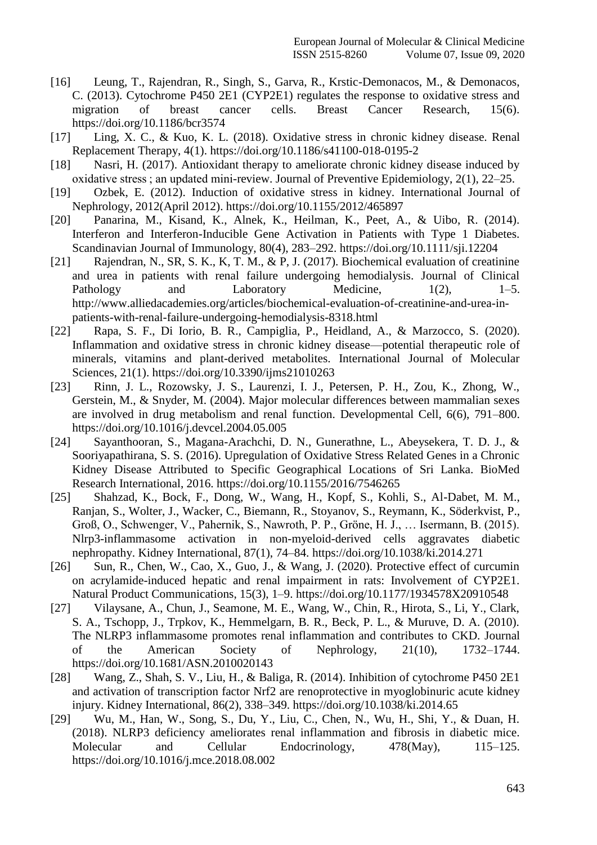- [16] Leung, T., Rajendran, R., Singh, S., Garva, R., Krstic-Demonacos, M., & Demonacos, C. (2013). Cytochrome P450 2E1 (CYP2E1) regulates the response to oxidative stress and migration of breast cancer cells. Breast Cancer Research, 15(6). https://doi.org/10.1186/bcr3574
- [17] Ling, X. C., & Kuo, K. L. (2018). Oxidative stress in chronic kidney disease. Renal Replacement Therapy, 4(1). https://doi.org/10.1186/s41100-018-0195-2
- [18] Nasri, H. (2017). Antioxidant therapy to ameliorate chronic kidney disease induced by oxidative stress ; an updated mini-review. Journal of Preventive Epidemiology, 2(1), 22–25.
- [19] Ozbek, E. (2012). Induction of oxidative stress in kidney. International Journal of Nephrology, 2012(April 2012). https://doi.org/10.1155/2012/465897
- [20] Panarina, M., Kisand, K., Alnek, K., Heilman, K., Peet, A., & Uibo, R. (2014). Interferon and Interferon-Inducible Gene Activation in Patients with Type 1 Diabetes. Scandinavian Journal of Immunology, 80(4), 283–292. https://doi.org/10.1111/sji.12204
- [21] Rajendran, N., SR, S. K., K, T. M., & P, J. (2017). Biochemical evaluation of creatinine and urea in patients with renal failure undergoing hemodialysis. Journal of Clinical Pathology and Laboratory Medicine,  $1(2)$ ,  $1-5$ . http://www.alliedacademies.org/articles/biochemical-evaluation-of-creatinine-and-urea-inpatients-with-renal-failure-undergoing-hemodialysis-8318.html
- [22] Rapa, S. F., Di Iorio, B. R., Campiglia, P., Heidland, A., & Marzocco, S. (2020). Inflammation and oxidative stress in chronic kidney disease—potential therapeutic role of minerals, vitamins and plant-derived metabolites. International Journal of Molecular Sciences, 21(1). https://doi.org/10.3390/ijms21010263
- [23] Rinn, J. L., Rozowsky, J. S., Laurenzi, I. J., Petersen, P. H., Zou, K., Zhong, W., Gerstein, M., & Snyder, M. (2004). Major molecular differences between mammalian sexes are involved in drug metabolism and renal function. Developmental Cell, 6(6), 791–800. https://doi.org/10.1016/j.devcel.2004.05.005
- [24] Sayanthooran, S., Magana-Arachchi, D. N., Gunerathne, L., Abeysekera, T. D. J., & Sooriyapathirana, S. S. (2016). Upregulation of Oxidative Stress Related Genes in a Chronic Kidney Disease Attributed to Specific Geographical Locations of Sri Lanka. BioMed Research International, 2016. https://doi.org/10.1155/2016/7546265
- [25] Shahzad, K., Bock, F., Dong, W., Wang, H., Kopf, S., Kohli, S., Al-Dabet, M. M., Ranjan, S., Wolter, J., Wacker, C., Biemann, R., Stoyanov, S., Reymann, K., Söderkvist, P., Groß, O., Schwenger, V., Pahernik, S., Nawroth, P. P., Gröne, H. J., … Isermann, B. (2015). Nlrp3-inflammasome activation in non-myeloid-derived cells aggravates diabetic nephropathy. Kidney International, 87(1), 74–84. https://doi.org/10.1038/ki.2014.271
- [26] Sun, R., Chen, W., Cao, X., Guo, J., & Wang, J. (2020). Protective effect of curcumin on acrylamide-induced hepatic and renal impairment in rats: Involvement of CYP2E1. Natural Product Communications, 15(3), 1–9. https://doi.org/10.1177/1934578X20910548
- [27] Vilaysane, A., Chun, J., Seamone, M. E., Wang, W., Chin, R., Hirota, S., Li, Y., Clark, S. A., Tschopp, J., Trpkov, K., Hemmelgarn, B. R., Beck, P. L., & Muruve, D. A. (2010). The NLRP3 inflammasome promotes renal inflammation and contributes to CKD. Journal of the American Society of Nephrology, 21(10), 1732–1744. https://doi.org/10.1681/ASN.2010020143
- [28] Wang, Z., Shah, S. V., Liu, H., & Baliga, R. (2014). Inhibition of cytochrome P450 2E1 and activation of transcription factor Nrf2 are renoprotective in myoglobinuric acute kidney injury. Kidney International, 86(2), 338–349. https://doi.org/10.1038/ki.2014.65
- [29] Wu, M., Han, W., Song, S., Du, Y., Liu, C., Chen, N., Wu, H., Shi, Y., & Duan, H. (2018). NLRP3 deficiency ameliorates renal inflammation and fibrosis in diabetic mice. Molecular and Cellular Endocrinology, 478(May), 115–125. https://doi.org/10.1016/j.mce.2018.08.002